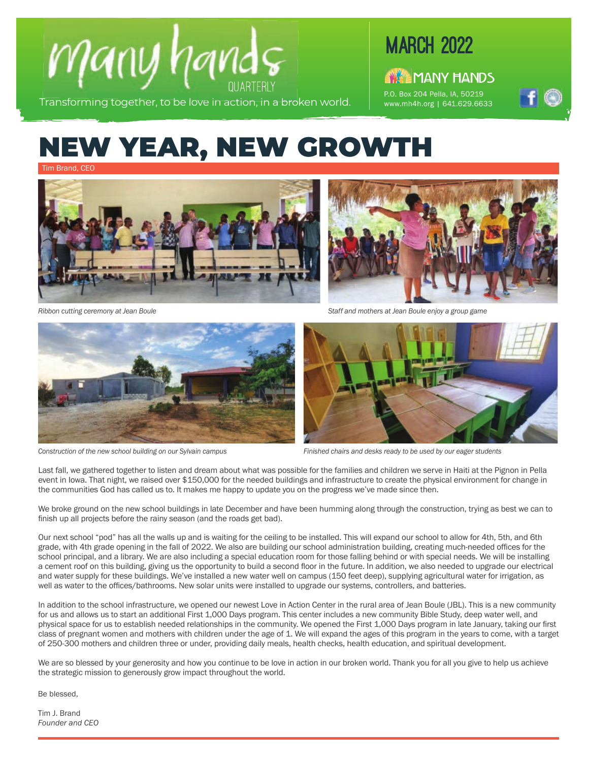

Transforming together, to be love in action, in a broken world.

## **MARCH 2022**

A MANY HANDS P.O. Box 204 Pella, IA, 50219 www.mh4h.org | 641.629.6633



## NEW YEAR, NEW GROWTH

Tim Brand, CEO





*Staff and mothers at Jean Boule enjoy a group game*

*Ribbon cutting ceremony at Jean Boule*



*Construction of the new school building on our Sylvain campus*



*Finished chairs and desks ready to be used by our eager students*

Last fall, we gathered together to listen and dream about what was possible for the families and children we serve in Haiti at the Pignon in Pella event in Iowa. That night, we raised over \$150,000 for the needed buildings and infrastructure to create the physical environment for change in the communities God has called us to. It makes me happy to update you on the progress we've made since then.

We broke ground on the new school buildings in late December and have been humming along through the construction, trying as best we can to finish up all projects before the rainy season (and the roads get bad).

Our next school "pod" has all the walls up and is waiting for the ceiling to be installed. This will expand our school to allow for 4th, 5th, and 6th grade, with 4th grade opening in the fall of 2022. We also are building our school administration building, creating much-needed offices for the school principal, and a library. We are also including a special education room for those falling behind or with special needs. We will be installing a cement roof on this building, giving us the opportunity to build a second floor in the future. In addition, we also needed to upgrade our electrical and water supply for these buildings. We've installed a new water well on campus (150 feet deep), supplying agricultural water for irrigation, as well as water to the offices/bathrooms. New solar units were installed to upgrade our systems, controllers, and batteries.

In addition to the school infrastructure, we opened our newest Love in Action Center in the rural area of Jean Boule (JBL). This is a new community for us and allows us to start an additional First 1,000 Days program. This center includes a new community Bible Study, deep water well, and physical space for us to establish needed relationships in the community. We opened the First 1,000 Days program in late January, taking our first class of pregnant women and mothers with children under the age of 1. We will expand the ages of this program in the years to come, with a target of 250-300 mothers and children three or under, providing daily meals, health checks, health education, and spiritual development.

We are so blessed by your generosity and how you continue to be love in action in our broken world. Thank you for all you give to help us achieve the strategic mission to generously grow impact throughout the world.

Be blessed,

Tim J. Brand *Founder and CEO*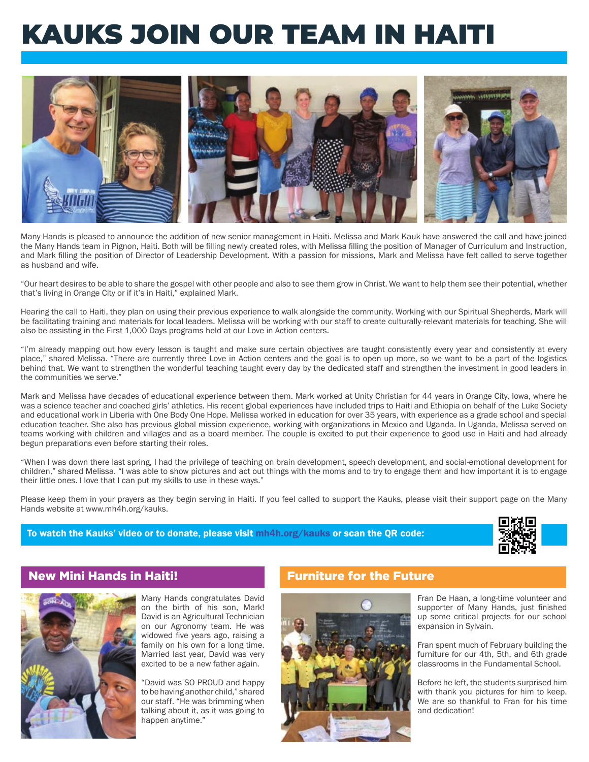# KAUKS JOIN OUR TEAM IN HAITI



Many Hands is pleased to announce the addition of new senior management in Haiti. Melissa and Mark Kauk have answered the call and have joined the Many Hands team in Pignon, Haiti. Both will be filling newly created roles, with Melissa filling the position of Manager of Curriculum and Instruction, and Mark filling the position of Director of Leadership Development. With a passion for missions, Mark and Melissa have felt called to serve together as husband and wife.

"Our heart desires to be able to share the gospel with other people and also to see them grow in Christ. We want to help them see their potential, whether that's living in Orange City or if it's in Haiti," explained Mark.

Hearing the call to Haiti, they plan on using their previous experience to walk alongside the community. Working with our Spiritual Shepherds, Mark will be facilitating training and materials for local leaders. Melissa will be working with our staff to create culturally-relevant materials for teaching. She will also be assisting in the First 1,000 Days programs held at our Love in Action centers.

"I'm already mapping out how every lesson is taught and make sure certain objectives are taught consistently every year and consistently at every place," shared Melissa. "There are currently three Love in Action centers and the goal is to open up more, so we want to be a part of the logistics behind that. We want to strengthen the wonderful teaching taught every day by the dedicated staff and strengthen the investment in good leaders in the communities we serve."

Mark and Melissa have decades of educational experience between them. Mark worked at Unity Christian for 44 years in Orange City, Iowa, where he was a science teacher and coached girls' athletics. His recent global experiences have included trips to Haiti and Ethiopia on behalf of the Luke Society and educational work in Liberia with One Body One Hope. Melissa worked in education for over 35 years, with experience as a grade school and special education teacher. She also has previous global mission experience, working with organizations in Mexico and Uganda. In Uganda, Melissa served on teams working with children and villages and as a board member. The couple is excited to put their experience to good use in Haiti and had already begun preparations even before starting their roles.

"When I was down there last spring, I had the privilege of teaching on brain development, speech development, and social-emotional development for children," shared Melissa. "I was able to show pictures and act out things with the moms and to try to engage them and how important it is to engage their little ones. I love that I can put my skills to use in these ways."

Please keep them in your prayers as they begin serving in Haiti. If you feel called to support the Kauks, please visit their support page on the Many Hands website at www.mh4h.org/kauks.

### To watch the Kauks' video or to donate, please visit mh4h.org/kauks or scan the QR code:



### New Mini Hands in Haiti! The South of Furniture for the Future



Many Hands congratulates David on the birth of his son, Mark! David is an Agricultural Technician on our Agronomy team. He was widowed five years ago, raising a family on his own for a long time. Married last year, David was very excited to be a new father again.

"David was SO PROUD and happy to be having another child," shared our staff. "He was brimming when talking about it, as it was going to happen anytime."



Fran De Haan, a long-time volunteer and supporter of Many Hands, just finished up some critical projects for our school expansion in Sylvain.

Fran spent much of February building the furniture for our 4th, 5th, and 6th grade classrooms in the Fundamental School.

Before he left, the students surprised him with thank you pictures for him to keep. We are so thankful to Fran for his time and dedication!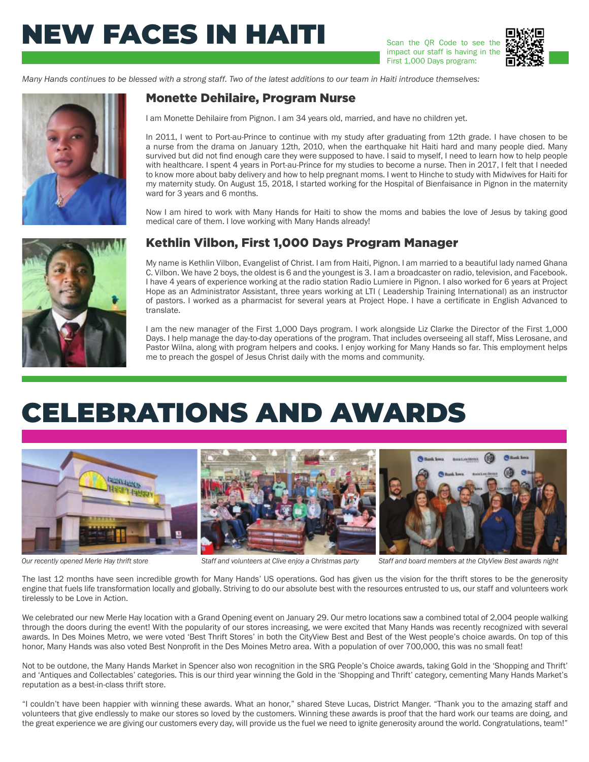# NEW FACES IN HAITI

Scan the QR Code to see the impact our staff is having in the First 1,000 Days program:



*Many Hands continues to be blessed with a strong staff. Two of the latest additions to our team in Haiti introduce themselves:*

## Monette Dehilaire, Program Nurse

I am Monette Dehilaire from Pignon. I am 34 years old, married, and have no children yet.

In 2011, I went to Port-au-Prince to continue with my study after graduating from 12th grade. I have chosen to be a nurse from the drama on January 12th, 2010, when the earthquake hit Haiti hard and many people died. Many survived but did not find enough care they were supposed to have. I said to myself, I need to learn how to help people with healthcare. I spent 4 years in Port-au-Prince for my studies to become a nurse. Then in 2017, I felt that I needed to know more about baby delivery and how to help pregnant moms. I went to Hinche to study with Midwives for Haiti for my maternity study. On August 15, 2018, I started working for the Hospital of Bienfaisance in Pignon in the maternity ward for 3 years and 6 months.

Now I am hired to work with Many Hands for Haiti to show the moms and babies the love of Jesus by taking good medical care of them. I love working with Many Hands already!

### Kethlin Vilbon, First 1,000 Days Program Manager

My name is Kethlin Vilbon, Evangelist of Christ. I am from Haiti, Pignon. I am married to a beautiful lady named Ghana C. Vilbon. We have 2 boys, the oldest is 6 and the youngest is 3. I am a broadcaster on radio, television, and Facebook. I have 4 years of experience working at the radio station Radio Lumiere in Pignon. I also worked for 6 years at Project Hope as an Administrator Assistant, three years working at LTI ( Leadership Training International) as an instructor of pastors. I worked as a pharmacist for several years at Project Hope. I have a certificate in English Advanced to translate.

I am the new manager of the First 1,000 Days program. I work alongside Liz Clarke the Director of the First 1,000 Days. I help manage the day-to-day operations of the program. That includes overseeing all staff, Miss Lerosane, and Pastor Wilna, along with program helpers and cooks. I enjoy working for Many Hands so far. This employment helps me to preach the gospel of Jesus Christ daily with the moms and community.

# CELEBRATIONS AND AWARDS







*Our recently opened Merle Hay thrift store Staff and volunteers at Clive enjoy a Christmas party Staff and board members at the CityView Best awards night*

The last 12 months have seen incredible growth for Many Hands' US operations. God has given us the vision for the thrift stores to be the generosity engine that fuels life transformation locally and globally. Striving to do our absolute best with the resources entrusted to us, our staff and volunteers work tirelessly to be Love in Action.

We celebrated our new Merle Hay location with a Grand Opening event on January 29. Our metro locations saw a combined total of 2,004 people walking through the doors during the event! With the popularity of our stores increasing, we were excited that Many Hands was recently recognized with several awards. In Des Moines Metro, we were voted 'Best Thrift Stores' in both the CityView Best and Best of the West people's choice awards. On top of this honor, Many Hands was also voted Best Nonprofit in the Des Moines Metro area. With a population of over 700,000, this was no small feat!

Not to be outdone, the Many Hands Market in Spencer also won recognition in the SRG People's Choice awards, taking Gold in the 'Shopping and Thrift' and 'Antiques and Collectables' categories. This is our third year winning the Gold in the 'Shopping and Thrift' category, cementing Many Hands Market's reputation as a best-in-class thrift store.

"I couldn't have been happier with winning these awards. What an honor," shared Steve Lucas, District Manger. "Thank you to the amazing staff and volunteers that give endlessly to make our stores so loved by the customers. Winning these awards is proof that the hard work our teams are doing, and the great experience we are giving our customers every day, will provide us the fuel we need to ignite generosity around the world. Congratulations, team!"